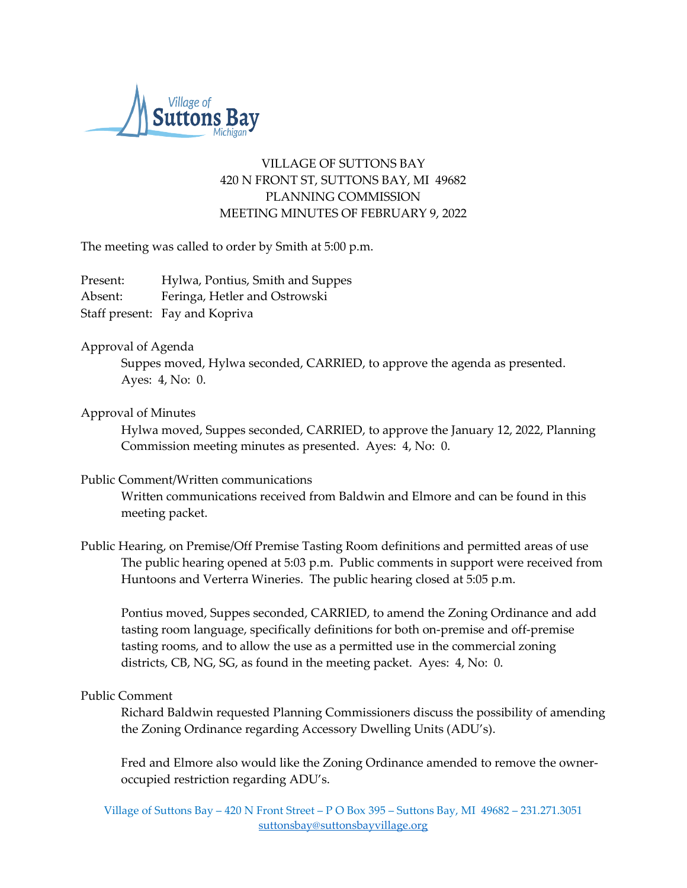

# VILLAGE OF SUTTONS BAY 420 N FRONT ST, SUTTONS BAY, MI 49682 PLANNING COMMISSION MEETING MINUTES OF FEBRUARY 9, 2022

The meeting was called to order by Smith at 5:00 p.m.

| Present: | Hylwa, Pontius, Smith and Suppes |
|----------|----------------------------------|
| Absent:  | Feringa, Hetler and Ostrowski    |
|          | Staff present: Fay and Kopriva   |

## Approval of Agenda

Suppes moved, Hylwa seconded, CARRIED, to approve the agenda as presented. Ayes: 4, No: 0.

## Approval of Minutes

Hylwa moved, Suppes seconded, CARRIED, to approve the January 12, 2022, Planning Commission meeting minutes as presented. Ayes: 4, No: 0.

## Public Comment/Written communications

Written communications received from Baldwin and Elmore and can be found in this meeting packet.

Public Hearing, on Premise/Off Premise Tasting Room definitions and permitted areas of use The public hearing opened at 5:03 p.m. Public comments in support were received from Huntoons and Verterra Wineries. The public hearing closed at 5:05 p.m.

Pontius moved, Suppes seconded, CARRIED, to amend the Zoning Ordinance and add tasting room language, specifically definitions for both on-premise and off-premise tasting rooms, and to allow the use as a permitted use in the commercial zoning districts, CB, NG, SG, as found in the meeting packet. Ayes: 4, No: 0.

## Public Comment

Richard Baldwin requested Planning Commissioners discuss the possibility of amending the Zoning Ordinance regarding Accessory Dwelling Units (ADU's).

Fred and Elmore also would like the Zoning Ordinance amended to remove the owneroccupied restriction regarding ADU's.

Village of Suttons Bay – 420 N Front Street – P O Box 395 – Suttons Bay, MI 49682 – 231.271.3051 [suttonsbay@suttonsbayvillage.org](mailto:suttonsbay@suttonsbayvillage.org)